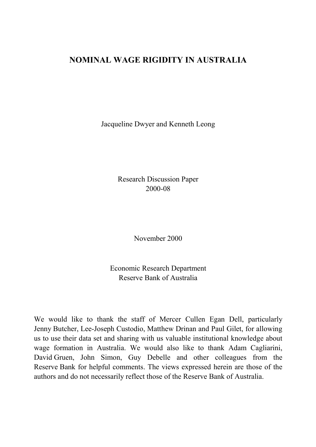## **NOMINAL WAGE RIGIDITY IN AUSTRALIA**

Jacqueline Dwyer and Kenneth Leong

Research Discussion Paper 2000-08

November 2000

Economic Research Department Reserve Bank of Australia

We would like to thank the staff of Mercer Cullen Egan Dell, particularly Jenny Butcher, Lee-Joseph Custodio, Matthew Drinan and Paul Gilet, for allowing us to use their data set and sharing with us valuable institutional knowledge about wage formation in Australia. We would also like to thank Adam Cagliarini, David Gruen, John Simon, Guy Debelle and other colleagues from the Reserve Bank for helpful comments. The views expressed herein are those of the authors and do not necessarily reflect those of the Reserve Bank of Australia.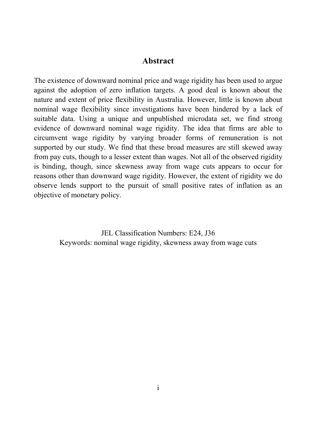#### **Abstract**

The existence of downward nominal price and wage rigidity has been used to argue against the adoption of zero inflation targets. A good deal is known about the nature and extent of price flexibility in Australia. However, little is known about nominal wage flexibility since investigations have been hindered by a lack of suitable data. Using a unique and unpublished microdata set, we find strong evidence of downward nominal wage rigidity. The idea that firms are able to circumvent wage rigidity by varying broader forms of remuneration is not supported by our study. We find that these broad measures are still skewed away from pay cuts, though to a lesser extent than wages. Not all of the observed rigidity is binding, though, since skewness away from wage cuts appears to occur for reasons other than downward wage rigidity. However, the extent of rigidity we do observe lends support to the pursuit of small positive rates of inflation as an objective of monetary policy.

> JEL Classification Numbers: E24, J36 Keywords: nominal wage rigidity, skewness away from wage cuts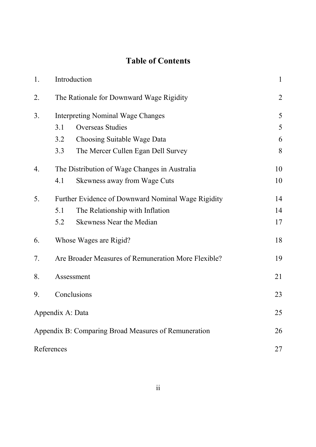# **Table of Contents**

| 1.             | Introduction                                         | $\mathbf{1}$ |  |
|----------------|------------------------------------------------------|--------------|--|
| 2.             | The Rationale for Downward Wage Rigidity             |              |  |
| 3 <sub>1</sub> | <b>Interpreting Nominal Wage Changes</b>             |              |  |
|                | Overseas Studies<br>3.1                              | 5            |  |
|                | 3.2<br>Choosing Suitable Wage Data                   | 6            |  |
|                | 3.3<br>The Mercer Cullen Egan Dell Survey            | 8            |  |
| 4.             | The Distribution of Wage Changes in Australia        | 10           |  |
|                | Skewness away from Wage Cuts<br>4.1                  | 10           |  |
| 5.             | Further Evidence of Downward Nominal Wage Rigidity   | 14           |  |
|                | The Relationship with Inflation<br>5.1               | 14           |  |
|                | 5.2<br><b>Skewness Near the Median</b>               | 17           |  |
| 6.             | Whose Wages are Rigid?                               | 18           |  |
| 7.             | Are Broader Measures of Remuneration More Flexible?  |              |  |
| 8.             | Assessment                                           |              |  |
| 9.             | Conclusions                                          | 23           |  |
|                | Appendix A: Data                                     | 25           |  |
|                | Appendix B: Comparing Broad Measures of Remuneration | 26           |  |
|                | References                                           | 27           |  |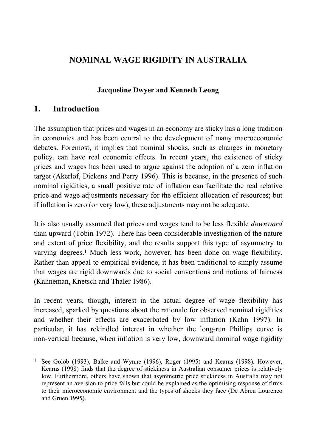# **NOMINAL WAGE RIGIDITY IN AUSTRALIA**

### **Jacqueline Dwyer and Kenneth Leong**

## **1. Introduction**

 $\overline{a}$ 

The assumption that prices and wages in an economy are sticky has a long tradition in economics and has been central to the development of many macroeconomic debates. Foremost, it implies that nominal shocks, such as changes in monetary policy, can have real economic effects. In recent years, the existence of sticky prices and wages has been used to argue against the adoption of a zero inflation target (Akerlof, Dickens and Perry 1996). This is because, in the presence of such nominal rigidities, a small positive rate of inflation can facilitate the real relative price and wage adjustments necessary for the efficient allocation of resources; but if inflation is zero (or very low), these adjustments may not be adequate.

It is also usually assumed that prices and wages tend to be less flexible *downward* than upward (Tobin 1972). There has been considerable investigation of the nature and extent of price flexibility, and the results support this type of asymmetry to varying degrees.1 Much less work, however, has been done on wage flexibility. Rather than appeal to empirical evidence, it has been traditional to simply assume that wages are rigid downwards due to social conventions and notions of fairness (Kahneman, Knetsch and Thaler 1986).

In recent years, though, interest in the actual degree of wage flexibility has increased, sparked by questions about the rationale for observed nominal rigidities and whether their effects are exacerbated by low inflation (Kahn 1997). In particular, it has rekindled interest in whether the long-run Phillips curve is non-vertical because, when inflation is very low, downward nominal wage rigidity

<sup>1</sup> See Golob (1993), Balke and Wynne (1996), Roger (1995) and Kearns (1998). However, Kearns (1998) finds that the degree of stickiness in Australian consumer prices is relatively low. Furthermore, others have shown that asymmetric price stickiness in Australia may not represent an aversion to price falls but could be explained as the optimising response of firms to their microeconomic environment and the types of shocks they face (De Abreu Lourenco and Gruen 1995).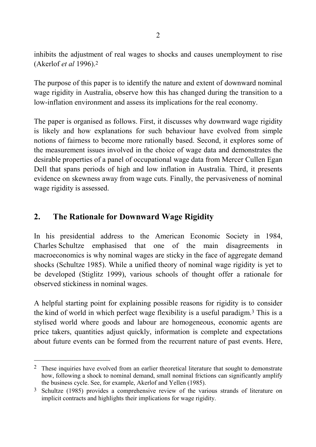inhibits the adjustment of real wages to shocks and causes unemployment to rise (Akerlof *et al* 1996).2

The purpose of this paper is to identify the nature and extent of downward nominal wage rigidity in Australia, observe how this has changed during the transition to a low-inflation environment and assess its implications for the real economy.

The paper is organised as follows. First, it discusses why downward wage rigidity is likely and how explanations for such behaviour have evolved from simple notions of fairness to become more rationally based. Second, it explores some of the measurement issues involved in the choice of wage data and demonstrates the desirable properties of a panel of occupational wage data from Mercer Cullen Egan Dell that spans periods of high and low inflation in Australia. Third, it presents evidence on skewness away from wage cuts. Finally, the pervasiveness of nominal wage rigidity is assessed.

# **2. The Rationale for Downward Wage Rigidity**

l

In his presidential address to the American Economic Society in 1984, Charles Schultze emphasised that one of the main disagreements in macroeconomics is why nominal wages are sticky in the face of aggregate demand shocks (Schultze 1985). While a unified theory of nominal wage rigidity is yet to be developed (Stiglitz 1999), various schools of thought offer a rationale for observed stickiness in nominal wages.

A helpful starting point for explaining possible reasons for rigidity is to consider the kind of world in which perfect wage flexibility is a useful paradigm.3 This is a stylised world where goods and labour are homogeneous, economic agents are price takers, quantities adjust quickly, information is complete and expectations about future events can be formed from the recurrent nature of past events. Here,

<sup>&</sup>lt;sup>2</sup> These inquiries have evolved from an earlier theoretical literature that sought to demonstrate how, following a shock to nominal demand, small nominal frictions can significantly amplify the business cycle. See, for example, Akerlof and Yellen (1985).

Schultze (1985) provides a comprehensive review of the various strands of literature on implicit contracts and highlights their implications for wage rigidity.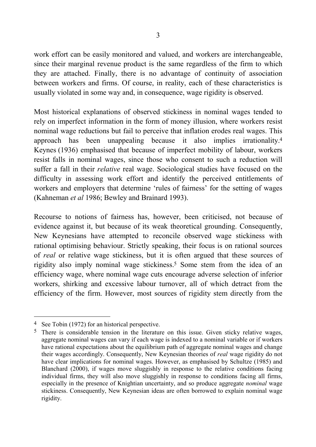work effort can be easily monitored and valued, and workers are interchangeable, since their marginal revenue product is the same regardless of the firm to which they are attached. Finally, there is no advantage of continuity of association between workers and firms. Of course, in reality, each of these characteristics is usually violated in some way and, in consequence, wage rigidity is observed.

Most historical explanations of observed stickiness in nominal wages tended to rely on imperfect information in the form of money illusion, where workers resist nominal wage reductions but fail to perceive that inflation erodes real wages. This approach has been unappealing because it also implies irrationality.4 Keynes (1936) emphasised that because of imperfect mobility of labour, workers resist falls in nominal wages, since those who consent to such a reduction will suffer a fall in their *relative* real wage. Sociological studies have focused on the difficulty in assessing work effort and identify the perceived entitlements of workers and employers that determine 'rules of fairness' for the setting of wages (Kahneman *et al* 1986; Bewley and Brainard 1993).

Recourse to notions of fairness has, however, been criticised, not because of evidence against it, but because of its weak theoretical grounding. Consequently, New Keynesians have attempted to reconcile observed wage stickiness with rational optimising behaviour. Strictly speaking, their focus is on rational sources of *real* or relative wage stickiness, but it is often argued that these sources of rigidity also imply nominal wage stickiness.5 Some stem from the idea of an efficiency wage, where nominal wage cuts encourage adverse selection of inferior workers, shirking and excessive labour turnover, all of which detract from the efficiency of the firm. However, most sources of rigidity stem directly from the

<sup>4</sup> See Tobin (1972) for an historical perspective.

<sup>&</sup>lt;sup>5</sup> There is considerable tension in the literature on this issue. Given sticky relative wages, aggregate nominal wages can vary if each wage is indexed to a nominal variable or if workers have rational expectations about the equilibrium path of aggregate nominal wages and change their wages accordingly. Consequently, New Keynesian theories of *real* wage rigidity do not have clear implications for nominal wages. However, as emphasised by Schultze (1985) and Blanchard (2000), if wages move sluggishly in response to the relative conditions facing individual firms, they will also move sluggishly in response to conditions facing all firms, especially in the presence of Knightian uncertainty, and so produce aggregate *nominal* wage stickiness. Consequently, New Keynesian ideas are often borrowed to explain nominal wage rigidity.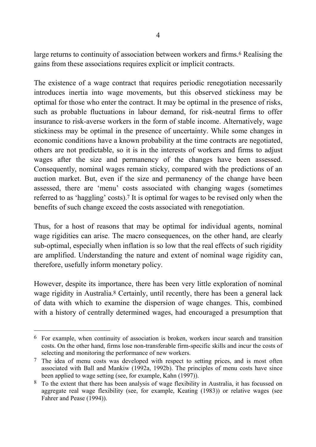large returns to continuity of association between workers and firms.<sup>6</sup> Realising the gains from these associations requires explicit or implicit contracts.

The existence of a wage contract that requires periodic renegotiation necessarily introduces inertia into wage movements, but this observed stickiness may be optimal for those who enter the contract. It may be optimal in the presence of risks, such as probable fluctuations in labour demand, for risk-neutral firms to offer insurance to risk-averse workers in the form of stable income. Alternatively, wage stickiness may be optimal in the presence of uncertainty. While some changes in economic conditions have a known probability at the time contracts are negotiated, others are not predictable, so it is in the interests of workers and firms to adjust wages after the size and permanency of the changes have been assessed. Consequently, nominal wages remain sticky, compared with the predictions of an auction market. But, even if the size and permanency of the change have been assessed, there are 'menu' costs associated with changing wages (sometimes referred to as 'haggling' costs).7 It is optimal for wages to be revised only when the benefits of such change exceed the costs associated with renegotiation.

Thus, for a host of reasons that may be optimal for individual agents, nominal wage rigidities can arise. The macro consequences, on the other hand, are clearly sub-optimal, especially when inflation is so low that the real effects of such rigidity are amplified. Understanding the nature and extent of nominal wage rigidity can, therefore, usefully inform monetary policy.

However, despite its importance, there has been very little exploration of nominal wage rigidity in Australia.<sup>8</sup> Certainly, until recently, there has been a general lack of data with which to examine the dispersion of wage changes. This, combined with a history of centrally determined wages, had encouraged a presumption that

l 6 For example, when continuity of association is broken, workers incur search and transition costs. On the other hand, firms lose non-transferable firm-specific skills and incur the costs of selecting and monitoring the performance of new workers.

<sup>7</sup> The idea of menu costs was developed with respect to setting prices, and is most often associated with Ball and Mankiw (1992a, 1992b). The principles of menu costs have since been applied to wage setting (see, for example, Kahn (1997)).

<sup>8</sup> To the extent that there has been analysis of wage flexibility in Australia, it has focussed on aggregate real wage flexibility (see, for example, Keating (1983)) or relative wages (see Fahrer and Pease (1994)).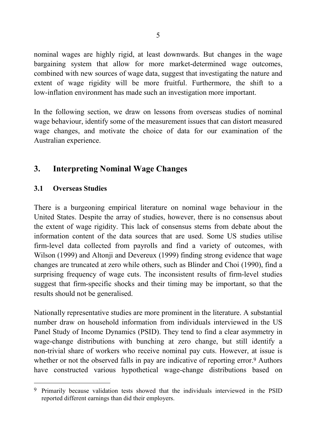nominal wages are highly rigid, at least downwards. But changes in the wage bargaining system that allow for more market-determined wage outcomes, combined with new sources of wage data, suggest that investigating the nature and extent of wage rigidity will be more fruitful. Furthermore, the shift to a low-inflation environment has made such an investigation more important.

In the following section, we draw on lessons from overseas studies of nominal wage behaviour, identify some of the measurement issues that can distort measured wage changes, and motivate the choice of data for our examination of the Australian experience.

# **3. Interpreting Nominal Wage Changes**

### **3.1 Overseas Studies**

 $\overline{a}$ 

There is a burgeoning empirical literature on nominal wage behaviour in the United States. Despite the array of studies, however, there is no consensus about the extent of wage rigidity. This lack of consensus stems from debate about the information content of the data sources that are used. Some US studies utilise firm-level data collected from payrolls and find a variety of outcomes, with Wilson (1999) and Altonji and Devereux (1999) finding strong evidence that wage changes are truncated at zero while others, such as Blinder and Choi (1990), find a surprising frequency of wage cuts. The inconsistent results of firm-level studies suggest that firm-specific shocks and their timing may be important, so that the results should not be generalised.

Nationally representative studies are more prominent in the literature. A substantial number draw on household information from individuals interviewed in the US Panel Study of Income Dynamics (PSID). They tend to find a clear asymmetry in wage-change distributions with bunching at zero change, but still identify a non-trivial share of workers who receive nominal pay cuts. However, at issue is whether or not the observed falls in pay are indicative of reporting error.<sup>9</sup> Authors have constructed various hypothetical wage-change distributions based on

<sup>9</sup> Primarily because validation tests showed that the individuals interviewed in the PSID reported different earnings than did their employers.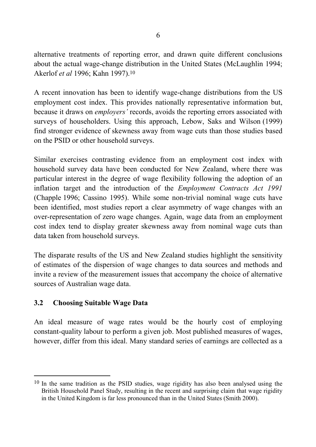alternative treatments of reporting error, and drawn quite different conclusions about the actual wage-change distribution in the United States (McLaughlin 1994; Akerlof *et al* 1996; Kahn 1997).10

A recent innovation has been to identify wage-change distributions from the US employment cost index. This provides nationally representative information but, because it draws on *employers'* records, avoids the reporting errors associated with surveys of householders. Using this approach, Lebow, Saks and Wilson (1999) find stronger evidence of skewness away from wage cuts than those studies based on the PSID or other household surveys.

Similar exercises contrasting evidence from an employment cost index with household survey data have been conducted for New Zealand, where there was particular interest in the degree of wage flexibility following the adoption of an inflation target and the introduction of the *Employment Contracts Act 1991* (Chapple 1996; Cassino 1995). While some non-trivial nominal wage cuts have been identified, most studies report a clear asymmetry of wage changes with an over-representation of zero wage changes. Again, wage data from an employment cost index tend to display greater skewness away from nominal wage cuts than data taken from household surveys.

The disparate results of the US and New Zealand studies highlight the sensitivity of estimates of the dispersion of wage changes to data sources and methods and invite a review of the measurement issues that accompany the choice of alternative sources of Australian wage data.

### **3.2 Choosing Suitable Wage Data**

l

An ideal measure of wage rates would be the hourly cost of employing constant-quality labour to perform a given job. Most published measures of wages, however, differ from this ideal. Many standard series of earnings are collected as a

<sup>10</sup> In the same tradition as the PSID studies, wage rigidity has also been analysed using the British Household Panel Study, resulting in the recent and surprising claim that wage rigidity in the United Kingdom is far less pronounced than in the United States (Smith 2000).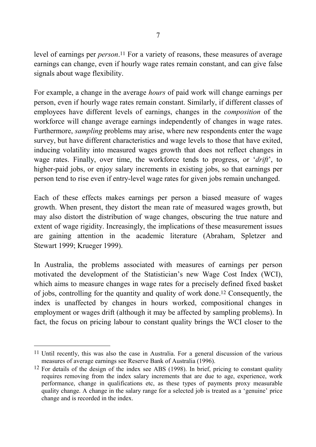level of earnings per *person*.11 For a variety of reasons, these measures of average earnings can change, even if hourly wage rates remain constant, and can give false signals about wage flexibility.

For example, a change in the average *hours* of paid work will change earnings per person, even if hourly wage rates remain constant. Similarly, if different classes of employees have different levels of earnings, changes in the *composition* of the workforce will change average earnings independently of changes in wage rates. Furthermore, *sampling* problems may arise, where new respondents enter the wage survey, but have different characteristics and wage levels to those that have exited, inducing volatility into measured wages growth that does not reflect changes in wage rates. Finally, over time, the workforce tends to progress, or '*drift*', to higher-paid jobs, or enjoy salary increments in existing jobs, so that earnings per person tend to rise even if entry-level wage rates for given jobs remain unchanged.

Each of these effects makes earnings per person a biased measure of wages growth. When present, they distort the mean rate of measured wages growth, but may also distort the distribution of wage changes, obscuring the true nature and extent of wage rigidity. Increasingly, the implications of these measurement issues are gaining attention in the academic literature (Abraham, Spletzer and Stewart 1999; Krueger 1999).

In Australia, the problems associated with measures of earnings per person motivated the development of the Statistician's new Wage Cost Index (WCI), which aims to measure changes in wage rates for a precisely defined fixed basket of jobs, controlling for the quantity and quality of work done.12 Consequently, the index is unaffected by changes in hours worked, compositional changes in employment or wages drift (although it may be affected by sampling problems). In fact, the focus on pricing labour to constant quality brings the WCI closer to the

<sup>11</sup> Until recently, this was also the case in Australia. For a general discussion of the various measures of average earnings see Reserve Bank of Australia (1996).

<sup>&</sup>lt;sup>12</sup> For details of the design of the index see ABS (1998). In brief, pricing to constant quality requires removing from the index salary increments that are due to age, experience, work performance, change in qualifications etc, as these types of payments proxy measurable quality change. A change in the salary range for a selected job is treated as a 'genuine' price change and is recorded in the index.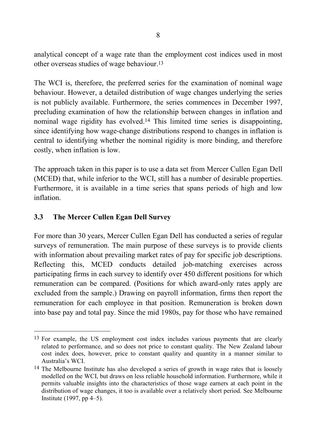analytical concept of a wage rate than the employment cost indices used in most other overseas studies of wage behaviour.13

The WCI is, therefore, the preferred series for the examination of nominal wage behaviour. However, a detailed distribution of wage changes underlying the series is not publicly available. Furthermore, the series commences in December 1997, precluding examination of how the relationship between changes in inflation and nominal wage rigidity has evolved.14 This limited time series is disappointing, since identifying how wage-change distributions respond to changes in inflation is central to identifying whether the nominal rigidity is more binding, and therefore costly, when inflation is low.

The approach taken in this paper is to use a data set from Mercer Cullen Egan Dell (MCED) that, while inferior to the WCI, still has a number of desirable properties. Furthermore, it is available in a time series that spans periods of high and low inflation.

#### **3.3 The Mercer Cullen Egan Dell Survey**

l

For more than 30 years, Mercer Cullen Egan Dell has conducted a series of regular surveys of remuneration. The main purpose of these surveys is to provide clients with information about prevailing market rates of pay for specific job descriptions. Reflecting this, MCED conducts detailed job-matching exercises across participating firms in each survey to identify over 450 different positions for which remuneration can be compared. (Positions for which award-only rates apply are excluded from the sample.) Drawing on payroll information, firms then report the remuneration for each employee in that position. Remuneration is broken down into base pay and total pay. Since the mid 1980s, pay for those who have remained

<sup>13</sup> For example, the US employment cost index includes various payments that are clearly related to performance, and so does not price to constant quality. The New Zealand labour cost index does, however, price to constant quality and quantity in a manner similar to Australia's WCI.

<sup>&</sup>lt;sup>14</sup> The Melbourne Institute has also developed a series of growth in wage rates that is loosely modelled on the WCI, but draws on less reliable household information. Furthermore, while it permits valuable insights into the characteristics of those wage earners at each point in the distribution of wage changes, it too is available over a relatively short period. See Melbourne Institute (1997, pp 4–5).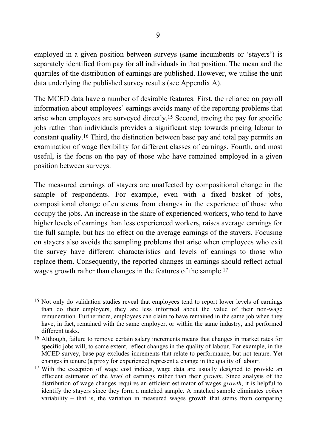employed in a given position between surveys (same incumbents or 'stayers') is separately identified from pay for all individuals in that position. The mean and the quartiles of the distribution of earnings are published. However, we utilise the unit data underlying the published survey results (see Appendix A).

The MCED data have a number of desirable features. First, the reliance on payroll information about employees' earnings avoids many of the reporting problems that arise when employees are surveyed directly.15 Second, tracing the pay for specific jobs rather than individuals provides a significant step towards pricing labour to constant quality.16 Third, the distinction between base pay and total pay permits an examination of wage flexibility for different classes of earnings. Fourth, and most useful, is the focus on the pay of those who have remained employed in a given position between surveys.

The measured earnings of stayers are unaffected by compositional change in the sample of respondents. For example, even with a fixed basket of jobs, compositional change often stems from changes in the experience of those who occupy the jobs. An increase in the share of experienced workers, who tend to have higher levels of earnings than less experienced workers, raises average earnings for the full sample, but has no effect on the average earnings of the stayers. Focusing on stayers also avoids the sampling problems that arise when employees who exit the survey have different characteristics and levels of earnings to those who replace them. Consequently, the reported changes in earnings should reflect actual wages growth rather than changes in the features of the sample.17

l

<sup>&</sup>lt;sup>15</sup> Not only do validation studies reveal that employees tend to report lower levels of earnings than do their employers, they are less informed about the value of their non-wage remuneration. Furthermore, employees can claim to have remained in the same job when they have, in fact, remained with the same employer, or within the same industry, and performed different tasks.

<sup>16</sup> Although, failure to remove certain salary increments means that changes in market rates for specific jobs will, to some extent, reflect changes in the quality of labour. For example, in the MCED survey, base pay excludes increments that relate to performance, but not tenure. Yet changes in tenure (a proxy for experience) represent a change in the quality of labour.

<sup>&</sup>lt;sup>17</sup> With the exception of wage cost indices, wage data are usually designed to provide an efficient estimator of the *level* of earnings rather than their *growth*. Since analysis of the distribution of wage changes requires an efficient estimator of wages *growth*, it is helpful to identify the stayers since they form a matched sample. A matched sample eliminates *cohort* variability – that is, the variation in measured wages growth that stems from comparing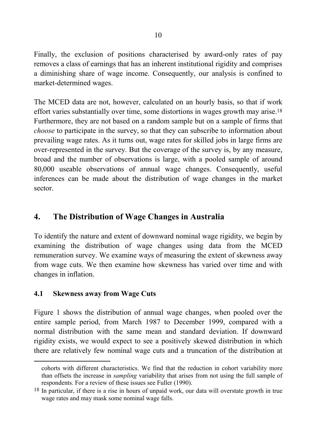Finally, the exclusion of positions characterised by award-only rates of pay removes a class of earnings that has an inherent institutional rigidity and comprises a diminishing share of wage income. Consequently, our analysis is confined to market-determined wages.

The MCED data are not, however, calculated on an hourly basis, so that if work effort varies substantially over time, some distortions in wages growth may arise.18 Furthermore, they are not based on a random sample but on a sample of firms that *choose* to participate in the survey, so that they can subscribe to information about prevailing wage rates. As it turns out, wage rates for skilled jobs in large firms are over-represented in the survey. But the coverage of the survey is, by any measure, broad and the number of observations is large, with a pooled sample of around 80,000 useable observations of annual wage changes. Consequently, useful inferences can be made about the distribution of wage changes in the market sector.

# **4. The Distribution of Wage Changes in Australia**

To identify the nature and extent of downward nominal wage rigidity, we begin by examining the distribution of wage changes using data from the MCED remuneration survey. We examine ways of measuring the extent of skewness away from wage cuts. We then examine how skewness has varied over time and with changes in inflation.

#### **4.1 Skewness away from Wage Cuts**

 $\overline{a}$ 

Figure 1 shows the distribution of annual wage changes, when pooled over the entire sample period, from March 1987 to December 1999, compared with a normal distribution with the same mean and standard deviation. If downward rigidity exists, we would expect to see a positively skewed distribution in which there are relatively few nominal wage cuts and a truncation of the distribution at

cohorts with different characteristics. We find that the reduction in cohort variability more than offsets the increase in *sampling* variability that arises from not using the full sample of respondents. For a review of these issues see Fuller (1990).

<sup>18</sup> In particular, if there is a rise in hours of unpaid work, our data will overstate growth in true wage rates and may mask some nominal wage falls.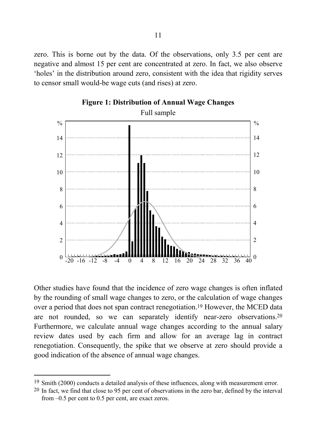zero. This is borne out by the data. Of the observations, only 3.5 per cent are negative and almost 15 per cent are concentrated at zero. In fact, we also observe 'holes' in the distribution around zero, consistent with the idea that rigidity serves to censor small would-be wage cuts (and rises) at zero.





Other studies have found that the incidence of zero wage changes is often inflated by the rounding of small wage changes to zero, or the calculation of wage changes over a period that does not span contract renegotiation.19 However, the MCED data are not rounded, so we can separately identify near-zero observations.20 Furthermore, we calculate annual wage changes according to the annual salary review dates used by each firm and allow for an average lag in contract renegotiation. Consequently, the spike that we observe at zero should provide a good indication of the absence of annual wage changes.

<sup>19</sup> Smith (2000) conducts a detailed analysis of these influences, along with measurement error.

<sup>20</sup> In fact, we find that close to 95 per cent of observations in the zero bar, defined by the interval from –0.5 per cent to 0.5 per cent, are exact zeros.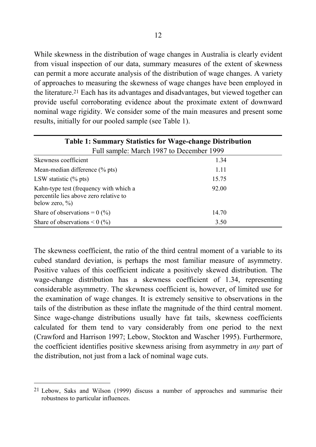While skewness in the distribution of wage changes in Australia is clearly evident from visual inspection of our data, summary measures of the extent of skewness can permit a more accurate analysis of the distribution of wage changes. A variety of approaches to measuring the skewness of wage changes have been employed in the literature.21 Each has its advantages and disadvantages, but viewed together can provide useful corroborating evidence about the proximate extent of downward nominal wage rigidity. We consider some of the main measures and present some results, initially for our pooled sample (see Table 1).

| <b>Table 1: Summary Statistics for Wage-change Distribution</b>                                        |       |  |  |  |  |  |
|--------------------------------------------------------------------------------------------------------|-------|--|--|--|--|--|
| Full sample: March 1987 to December 1999                                                               |       |  |  |  |  |  |
| Skewness coefficient                                                                                   | 1.34  |  |  |  |  |  |
| Mean-median difference $(\%$ pts)                                                                      | 1.11  |  |  |  |  |  |
| LSW statistic $(\%$ pts)                                                                               | 15.75 |  |  |  |  |  |
| Kahn-type test (frequency with which a<br>percentile lies above zero relative to<br>below zero, $\%$ ) | 92.00 |  |  |  |  |  |
| Share of observations = $0\,($ %)                                                                      | 14.70 |  |  |  |  |  |
| Share of observations $\leq 0$ (%)                                                                     | 3.50  |  |  |  |  |  |

The skewness coefficient, the ratio of the third central moment of a variable to its cubed standard deviation, is perhaps the most familiar measure of asymmetry. Positive values of this coefficient indicate a positively skewed distribution. The wage-change distribution has a skewness coefficient of 1.34, representing considerable asymmetry. The skewness coefficient is, however, of limited use for the examination of wage changes. It is extremely sensitive to observations in the tails of the distribution as these inflate the magnitude of the third central moment. Since wage-change distributions usually have fat tails, skewness coefficients calculated for them tend to vary considerably from one period to the next (Crawford and Harrison 1997; Lebow, Stockton and Wascher 1995). Furthermore, the coefficient identifies positive skewness arising from asymmetry in *any* part of the distribution, not just from a lack of nominal wage cuts.

<sup>21</sup> Lebow, Saks and Wilson (1999) discuss a number of approaches and summarise their robustness to particular influences.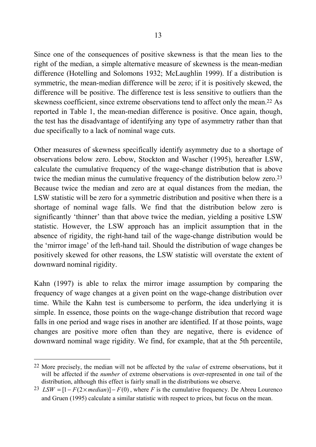Since one of the consequences of positive skewness is that the mean lies to the right of the median, a simple alternative measure of skewness is the mean-median difference (Hotelling and Solomons 1932; McLaughlin 1999). If a distribution is symmetric, the mean-median difference will be zero; if it is positively skewed, the difference will be positive. The difference test is less sensitive to outliers than the skewness coefficient, since extreme observations tend to affect only the mean.22 As reported in Table 1, the mean-median difference is positive. Once again, though, the test has the disadvantage of identifying any type of asymmetry rather than that due specifically to a lack of nominal wage cuts.

Other measures of skewness specifically identify asymmetry due to a shortage of observations below zero. Lebow, Stockton and Wascher (1995), hereafter LSW, calculate the cumulative frequency of the wage-change distribution that is above twice the median minus the cumulative frequency of the distribution below zero.23 Because twice the median and zero are at equal distances from the median, the LSW statistic will be zero for a symmetric distribution and positive when there is a shortage of nominal wage falls. We find that the distribution below zero is significantly 'thinner' than that above twice the median, yielding a positive LSW statistic. However, the LSW approach has an implicit assumption that in the absence of rigidity, the right-hand tail of the wage-change distribution would be the 'mirror image' of the left-hand tail. Should the distribution of wage changes be positively skewed for other reasons, the LSW statistic will overstate the extent of downward nominal rigidity.

Kahn (1997) is able to relax the mirror image assumption by comparing the frequency of wage changes at a given point on the wage-change distribution over time. While the Kahn test is cumbersome to perform, the idea underlying it is simple. In essence, those points on the wage-change distribution that record wage falls in one period and wage rises in another are identified. If at those points, wage changes are positive more often than they are negative, there is evidence of downward nominal wage rigidity. We find, for example, that at the 5th percentile,

<sup>22</sup> More precisely, the median will not be affected by the *value* of extreme observations, but it will be affected if the *number* of extreme observations is over-represented in one tail of the distribution, although this effect is fairly small in the distributions we observe.

<sup>23</sup> *LSW* =  $[1 - F(2 \times median)] - F(0)$ , where *F* is the cumulative frequency. De Abreu Lourenco and Gruen (1995) calculate a similar statistic with respect to prices, but focus on the mean.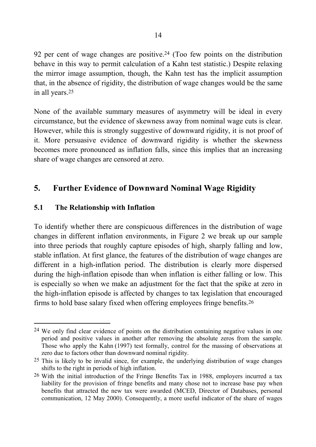92 per cent of wage changes are positive.24 (Too few points on the distribution behave in this way to permit calculation of a Kahn test statistic.) Despite relaxing the mirror image assumption, though, the Kahn test has the implicit assumption that, in the absence of rigidity, the distribution of wage changes would be the same in all years.25

None of the available summary measures of asymmetry will be ideal in every circumstance, but the evidence of skewness away from nominal wage cuts is clear. However, while this is strongly suggestive of downward rigidity, it is not proof of it. More persuasive evidence of downward rigidity is whether the skewness becomes more pronounced as inflation falls, since this implies that an increasing share of wage changes are censored at zero.

# **5. Further Evidence of Downward Nominal Wage Rigidity**

#### **5.1 The Relationship with Inflation**

l

To identify whether there are conspicuous differences in the distribution of wage changes in different inflation environments, in Figure 2 we break up our sample into three periods that roughly capture episodes of high, sharply falling and low, stable inflation. At first glance, the features of the distribution of wage changes are different in a high-inflation period. The distribution is clearly more dispersed during the high-inflation episode than when inflation is either falling or low. This is especially so when we make an adjustment for the fact that the spike at zero in the high-inflation episode is affected by changes to tax legislation that encouraged firms to hold base salary fixed when offering employees fringe benefits.26

<sup>24</sup> We only find clear evidence of points on the distribution containing negative values in one period and positive values in another after removing the absolute zeros from the sample. Those who apply the Kahn (1997) test formally, control for the massing of observations at zero due to factors other than downward nominal rigidity.

 $25$  This is likely to be invalid since, for example, the underlying distribution of wage changes shifts to the right in periods of high inflation.

<sup>26</sup> With the initial introduction of the Fringe Benefits Tax in 1988, employers incurred a tax liability for the provision of fringe benefits and many chose not to increase base pay when benefits that attracted the new tax were awarded (MCED, Director of Databases, personal communication, 12 May 2000). Consequently, a more useful indicator of the share of wages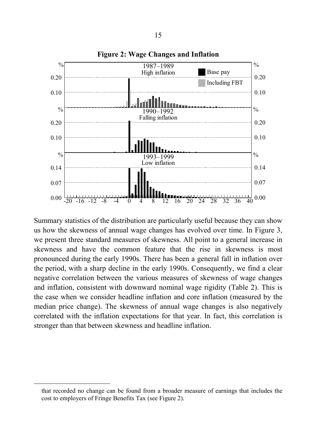

Summary statistics of the distribution are particularly useful because they can show us how the skewness of annual wage changes has evolved over time. In Figure 3, we present three standard measures of skewness. All point to a general increase in skewness and have the common feature that the rise in skewness is most pronounced during the early 1990s. There has been a general fall in inflation over the period, with a sharp decline in the early 1990s. Consequently, we find a clear negative correlation between the various measures of skewness of wage changes and inflation, consistent with downward nominal wage rigidity (Table 2). This is the case when we consider headline inflation and core inflation (measured by the median price change). The skewness of annual wage changes is also negatively correlated with the inflation expectations for that year. In fact, this correlation is stronger than that between skewness and headline inflation.

that recorded no change can be found from a broader measure of earnings that includes the cost to employers of Fringe Benefits Tax (see Figure 2).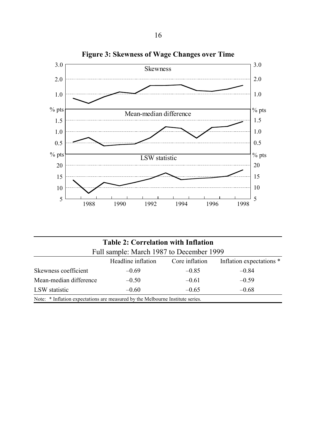

| <b>Table 2: Correlation with Inflation</b><br>Full sample: March 1987 to December 1999 |         |         |         |  |  |  |
|----------------------------------------------------------------------------------------|---------|---------|---------|--|--|--|
|                                                                                        |         |         |         |  |  |  |
| Skewness coefficient                                                                   | $-0.69$ | $-0.85$ | $-0.84$ |  |  |  |
| Mean-median difference                                                                 | $-0.50$ | $-0.61$ | $-0.59$ |  |  |  |
| LSW statistic                                                                          | $-0.60$ | $-0.65$ | $-0.68$ |  |  |  |
| Note: * Inflation expectations are measured by the Melbourne Institute series.         |         |         |         |  |  |  |

**Figure 3: Skewness of Wage Changes over Time**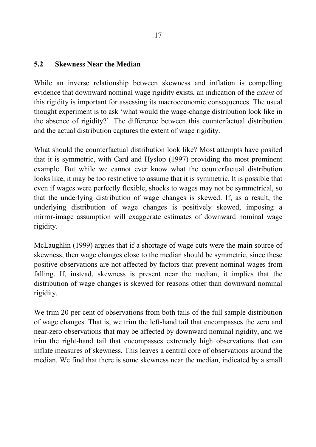#### **5.2 Skewness Near the Median**

While an inverse relationship between skewness and inflation is compelling evidence that downward nominal wage rigidity exists, an indication of the *extent* of this rigidity is important for assessing its macroeconomic consequences. The usual thought experiment is to ask 'what would the wage-change distribution look like in the absence of rigidity?'. The difference between this counterfactual distribution and the actual distribution captures the extent of wage rigidity.

What should the counterfactual distribution look like? Most attempts have posited that it is symmetric, with Card and Hyslop (1997) providing the most prominent example. But while we cannot ever know what the counterfactual distribution looks like, it may be too restrictive to assume that it is symmetric. It is possible that even if wages were perfectly flexible, shocks to wages may not be symmetrical, so that the underlying distribution of wage changes is skewed. If, as a result, the underlying distribution of wage changes is positively skewed, imposing a mirror-image assumption will exaggerate estimates of downward nominal wage rigidity.

McLaughlin (1999) argues that if a shortage of wage cuts were the main source of skewness, then wage changes close to the median should be symmetric, since these positive observations are not affected by factors that prevent nominal wages from falling. If, instead, skewness is present near the median, it implies that the distribution of wage changes is skewed for reasons other than downward nominal rigidity.

We trim 20 per cent of observations from both tails of the full sample distribution of wage changes. That is, we trim the left-hand tail that encompasses the zero and near-zero observations that may be affected by downward nominal rigidity, and we trim the right-hand tail that encompasses extremely high observations that can inflate measures of skewness. This leaves a central core of observations around the median. We find that there is some skewness near the median, indicated by a small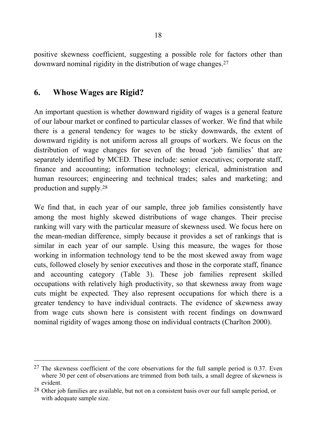positive skewness coefficient, suggesting a possible role for factors other than downward nominal rigidity in the distribution of wage changes.27

### **6. Whose Wages are Rigid?**

l

An important question is whether downward rigidity of wages is a general feature of our labour market or confined to particular classes of worker. We find that while there is a general tendency for wages to be sticky downwards, the extent of downward rigidity is not uniform across all groups of workers. We focus on the distribution of wage changes for seven of the broad 'job families' that are separately identified by MCED. These include: senior executives; corporate staff, finance and accounting; information technology; clerical, administration and human resources; engineering and technical trades; sales and marketing; and production and supply.28

We find that, in each year of our sample, three job families consistently have among the most highly skewed distributions of wage changes. Their precise ranking will vary with the particular measure of skewness used. We focus here on the mean-median difference, simply because it provides a set of rankings that is similar in each year of our sample. Using this measure, the wages for those working in information technology tend to be the most skewed away from wage cuts, followed closely by senior executives and those in the corporate staff, finance and accounting category (Table 3). These job families represent skilled occupations with relatively high productivity, so that skewness away from wage cuts might be expected. They also represent occupations for which there is a greater tendency to have individual contracts. The evidence of skewness away from wage cuts shown here is consistent with recent findings on downward nominal rigidity of wages among those on individual contracts (Charlton 2000).

 $27$  The skewness coefficient of the core observations for the full sample period is 0.37. Even where 30 per cent of observations are trimmed from both tails, a small degree of skewness is evident.

<sup>28</sup> Other job families are available, but not on a consistent basis over our full sample period, or with adequate sample size.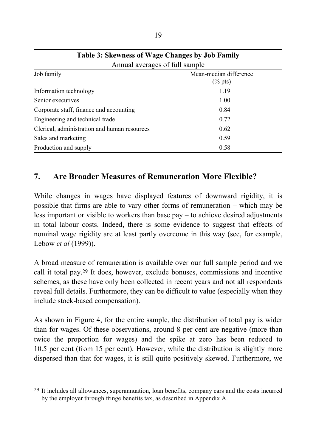| Annual averages of full sample               |                                      |  |  |  |
|----------------------------------------------|--------------------------------------|--|--|--|
| Job family                                   | Mean-median difference<br>$(\%$ pts) |  |  |  |
| Information technology                       | 1.19                                 |  |  |  |
| Senior executives                            | 1.00                                 |  |  |  |
| Corporate staff, finance and accounting      | 0.84                                 |  |  |  |
| Engineering and technical trade              | 0.72                                 |  |  |  |
| Clerical, administration and human resources | 0.62                                 |  |  |  |
| Sales and marketing                          | 0.59                                 |  |  |  |
| Production and supply                        | 0.58                                 |  |  |  |

| Table 3: Skewness of Wage Changes by Job Family |
|-------------------------------------------------|
| Annual averages of full sample                  |

# **7. Are Broader Measures of Remuneration More Flexible?**

While changes in wages have displayed features of downward rigidity, it is possible that firms are able to vary other forms of remuneration – which may be less important or visible to workers than base pay – to achieve desired adjustments in total labour costs. Indeed, there is some evidence to suggest that effects of nominal wage rigidity are at least partly overcome in this way (see, for example, Lebow *et al* (1999)).

A broad measure of remuneration is available over our full sample period and we call it total pay.29 It does, however, exclude bonuses, commissions and incentive schemes, as these have only been collected in recent years and not all respondents reveal full details. Furthermore, they can be difficult to value (especially when they include stock-based compensation).

As shown in Figure 4, for the entire sample, the distribution of total pay is wider than for wages. Of these observations, around 8 per cent are negative (more than twice the proportion for wages) and the spike at zero has been reduced to 10.5 per cent (from 15 per cent). However, while the distribution is slightly more dispersed than that for wages, it is still quite positively skewed. Furthermore, we

<sup>29</sup> It includes all allowances, superannuation, loan benefits, company cars and the costs incurred by the employer through fringe benefits tax, as described in Appendix A.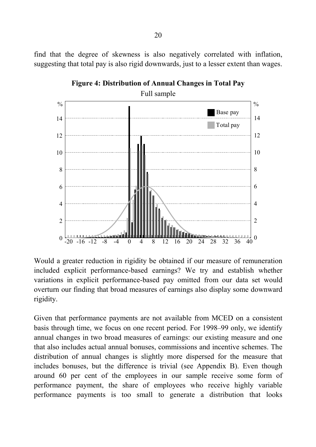find that the degree of skewness is also negatively correlated with inflation, suggesting that total pay is also rigid downwards, just to a lesser extent than wages.



**Figure 4: Distribution of Annual Changes in Total Pay**

Would a greater reduction in rigidity be obtained if our measure of remuneration included explicit performance-based earnings? We try and establish whether variations in explicit performance-based pay omitted from our data set would overturn our finding that broad measures of earnings also display some downward rigidity.

Given that performance payments are not available from MCED on a consistent basis through time, we focus on one recent period. For 1998–99 only, we identify annual changes in two broad measures of earnings: our existing measure and one that also includes actual annual bonuses, commissions and incentive schemes. The distribution of annual changes is slightly more dispersed for the measure that includes bonuses, but the difference is trivial (see Appendix B). Even though around 60 per cent of the employees in our sample receive some form of performance payment, the share of employees who receive highly variable performance payments is too small to generate a distribution that looks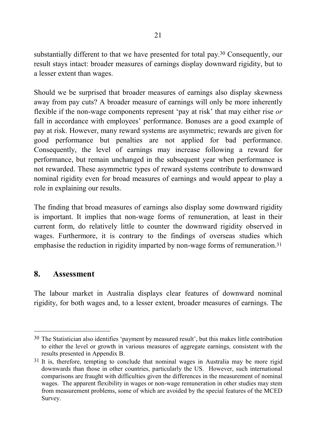substantially different to that we have presented for total pay.30 Consequently, our result stays intact: broader measures of earnings display downward rigidity, but to a lesser extent than wages.

Should we be surprised that broader measures of earnings also display skewness away from pay cuts? A broader measure of earnings will only be more inherently flexible if the non-wage components represent 'pay at risk' that may either rise *or* fall in accordance with employees' performance. Bonuses are a good example of pay at risk. However, many reward systems are asymmetric; rewards are given for good performance but penalties are not applied for bad performance. Consequently, the level of earnings may increase following a reward for performance, but remain unchanged in the subsequent year when performance is not rewarded. These asymmetric types of reward systems contribute to downward nominal rigidity even for broad measures of earnings and would appear to play a role in explaining our results.

The finding that broad measures of earnings also display some downward rigidity is important. It implies that non-wage forms of remuneration, at least in their current form, do relatively little to counter the downward rigidity observed in wages. Furthermore, it is contrary to the findings of overseas studies which emphasise the reduction in rigidity imparted by non-wage forms of remuneration.31

#### **8. Assessment**

l

The labour market in Australia displays clear features of downward nominal rigidity, for both wages and, to a lesser extent, broader measures of earnings. The

<sup>30</sup> The Statistician also identifies 'payment by measured result', but this makes little contribution to either the level or growth in various measures of aggregate earnings, consistent with the results presented in Appendix B.

<sup>&</sup>lt;sup>31</sup> It is, therefore, tempting to conclude that nominal wages in Australia may be more rigid downwards than those in other countries, particularly the US. However, such international comparisons are fraught with difficulties given the differences in the measurement of nominal wages. The apparent flexibility in wages or non-wage remuneration in other studies may stem from measurement problems, some of which are avoided by the special features of the MCED Survey.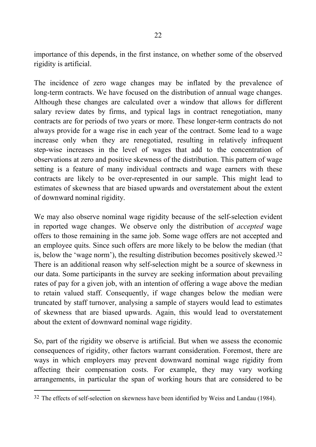importance of this depends, in the first instance, on whether some of the observed rigidity is artificial.

The incidence of zero wage changes may be inflated by the prevalence of long-term contracts. We have focused on the distribution of annual wage changes. Although these changes are calculated over a window that allows for different salary review dates by firms, and typical lags in contract renegotiation, many contracts are for periods of two years or more. These longer-term contracts do not always provide for a wage rise in each year of the contract. Some lead to a wage increase only when they are renegotiated, resulting in relatively infrequent step-wise increases in the level of wages that add to the concentration of observations at zero and positive skewness of the distribution. This pattern of wage setting is a feature of many individual contracts and wage earners with these contracts are likely to be over-represented in our sample. This might lead to estimates of skewness that are biased upwards and overstatement about the extent of downward nominal rigidity.

We may also observe nominal wage rigidity because of the self-selection evident in reported wage changes. We observe only the distribution of *accepted* wage offers to those remaining in the same job. Some wage offers are not accepted and an employee quits. Since such offers are more likely to be below the median (that is, below the 'wage norm'), the resulting distribution becomes positively skewed.32 There is an additional reason why self-selection might be a source of skewness in our data. Some participants in the survey are seeking information about prevailing rates of pay for a given job, with an intention of offering a wage above the median to retain valued staff. Consequently, if wage changes below the median were truncated by staff turnover, analysing a sample of stayers would lead to estimates of skewness that are biased upwards. Again, this would lead to overstatement about the extent of downward nominal wage rigidity.

So, part of the rigidity we observe is artificial. But when we assess the economic consequences of rigidity, other factors warrant consideration. Foremost, there are ways in which employers may prevent downward nominal wage rigidity from affecting their compensation costs. For example, they may vary working arrangements, in particular the span of working hours that are considered to be

<sup>32</sup> The effects of self-selection on skewness have been identified by Weiss and Landau (1984).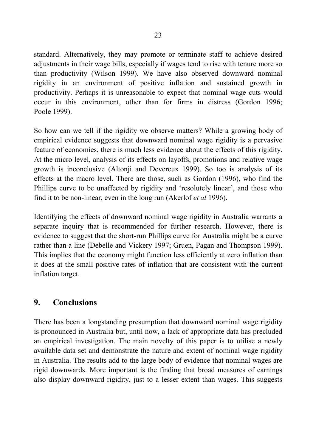standard. Alternatively, they may promote or terminate staff to achieve desired adjustments in their wage bills, especially if wages tend to rise with tenure more so than productivity (Wilson 1999). We have also observed downward nominal rigidity in an environment of positive inflation and sustained growth in productivity. Perhaps it is unreasonable to expect that nominal wage cuts would occur in this environment, other than for firms in distress (Gordon 1996; Poole 1999).

So how can we tell if the rigidity we observe matters? While a growing body of empirical evidence suggests that downward nominal wage rigidity is a pervasive feature of economies, there is much less evidence about the effects of this rigidity. At the micro level, analysis of its effects on layoffs, promotions and relative wage growth is inconclusive (Altonji and Devereux 1999). So too is analysis of its effects at the macro level. There are those, such as Gordon (1996), who find the Phillips curve to be unaffected by rigidity and 'resolutely linear', and those who find it to be non-linear, even in the long run (Akerlof *et al* 1996).

Identifying the effects of downward nominal wage rigidity in Australia warrants a separate inquiry that is recommended for further research. However, there is evidence to suggest that the short-run Phillips curve for Australia might be a curve rather than a line (Debelle and Vickery 1997; Gruen, Pagan and Thompson 1999). This implies that the economy might function less efficiently at zero inflation than it does at the small positive rates of inflation that are consistent with the current inflation target.

# **9. Conclusions**

There has been a longstanding presumption that downward nominal wage rigidity is pronounced in Australia but, until now, a lack of appropriate data has precluded an empirical investigation. The main novelty of this paper is to utilise a newly available data set and demonstrate the nature and extent of nominal wage rigidity in Australia. The results add to the large body of evidence that nominal wages are rigid downwards. More important is the finding that broad measures of earnings also display downward rigidity, just to a lesser extent than wages. This suggests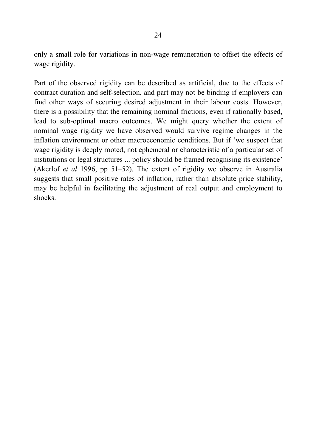only a small role for variations in non-wage remuneration to offset the effects of wage rigidity.

Part of the observed rigidity can be described as artificial, due to the effects of contract duration and self-selection, and part may not be binding if employers can find other ways of securing desired adjustment in their labour costs. However, there is a possibility that the remaining nominal frictions, even if rationally based, lead to sub-optimal macro outcomes. We might query whether the extent of nominal wage rigidity we have observed would survive regime changes in the inflation environment or other macroeconomic conditions. But if 'we suspect that wage rigidity is deeply rooted, not ephemeral or characteristic of a particular set of institutions or legal structures ... policy should be framed recognising its existence' (Akerlof *et al* 1996, pp 51–52). The extent of rigidity we observe in Australia suggests that small positive rates of inflation, rather than absolute price stability, may be helpful in facilitating the adjustment of real output and employment to shocks.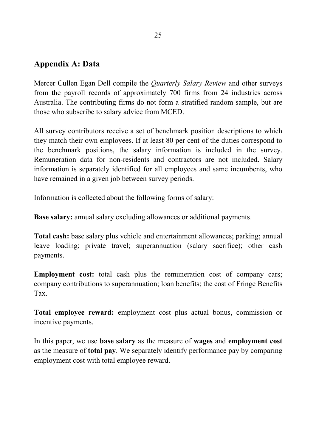### **Appendix A: Data**

Mercer Cullen Egan Dell compile the *Quarterly Salary Review* and other surveys from the payroll records of approximately 700 firms from 24 industries across Australia. The contributing firms do not form a stratified random sample, but are those who subscribe to salary advice from MCED.

All survey contributors receive a set of benchmark position descriptions to which they match their own employees. If at least 80 per cent of the duties correspond to the benchmark positions, the salary information is included in the survey. Remuneration data for non-residents and contractors are not included. Salary information is separately identified for all employees and same incumbents, who have remained in a given job between survey periods.

Information is collected about the following forms of salary:

**Base salary:** annual salary excluding allowances or additional payments.

**Total cash:** base salary plus vehicle and entertainment allowances; parking; annual leave loading; private travel; superannuation (salary sacrifice); other cash payments.

**Employment cost:** total cash plus the remuneration cost of company cars; company contributions to superannuation; loan benefits; the cost of Fringe Benefits Tax.

**Total employee reward:** employment cost plus actual bonus, commission or incentive payments.

In this paper, we use **base salary** as the measure of **wages** and **employment cost** as the measure of **total pay**. We separately identify performance pay by comparing employment cost with total employee reward.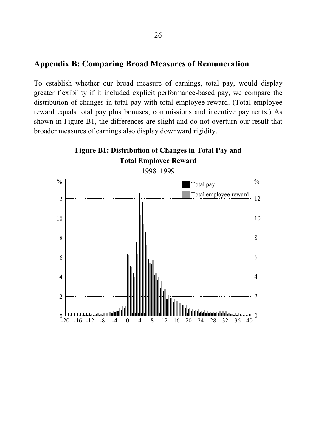#### **Appendix B: Comparing Broad Measures of Remuneration**

To establish whether our broad measure of earnings, total pay, would display greater flexibility if it included explicit performance-based pay, we compare the distribution of changes in total pay with total employee reward. (Total employee reward equals total pay plus bonuses, commissions and incentive payments.) As shown in Figure B1, the differences are slight and do not overturn our result that broader measures of earnings also display downward rigidity.

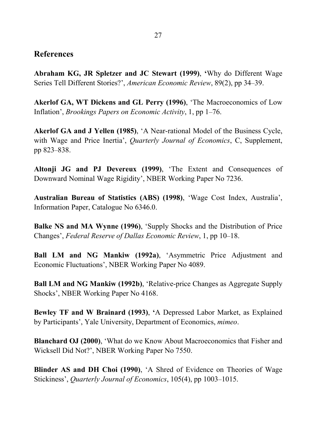### **References**

**Abraham KG, JR Spletzer and JC Stewart (1999)**, **'**Why do Different Wage Series Tell Different Stories?', *American Economic Review*, 89(2), pp 34–39.

**Akerlof GA, WT Dickens and GL Perry (1996)**, 'The Macroeconomics of Low Inflation', *Brookings Papers on Economic Activity*, 1, pp 1–76.

**Akerlof GA and J Yellen (1985)**, 'A Near-rational Model of the Business Cycle, with Wage and Price Inertia', *Quarterly Journal of Economics*, C, Supplement, pp 823–838.

**Altonji JG and PJ Devereux (1999)**, 'The Extent and Consequences of Downward Nominal Wage Rigidity', NBER Working Paper No 7236.

**Australian Bureau of Statistics (ABS) (1998)**, 'Wage Cost Index, Australia', Information Paper, Catalogue No 6346.0.

**Balke NS and MA Wynne (1996)**, 'Supply Shocks and the Distribution of Price Changes', *Federal Reserve of Dallas Economic Review*, 1, pp 10–18.

**Ball LM and NG Mankiw (1992a)**, 'Asymmetric Price Adjustment and Economic Fluctuations', NBER Working Paper No 4089.

**Ball LM and NG Mankiw (1992b)**, 'Relative-price Changes as Aggregate Supply Shocks', NBER Working Paper No 4168.

**Bewley TF and W Brainard (1993)**, **'**A Depressed Labor Market, as Explained by Participants', Yale University, Department of Economics, *mimeo*.

**Blanchard OJ (2000)**, 'What do we Know About Macroeconomics that Fisher and Wicksell Did Not?', NBER Working Paper No 7550.

**Blinder AS and DH Choi (1990)**, 'A Shred of Evidence on Theories of Wage Stickiness', *Quarterly Journal of Economics*, 105(4), pp 1003–1015.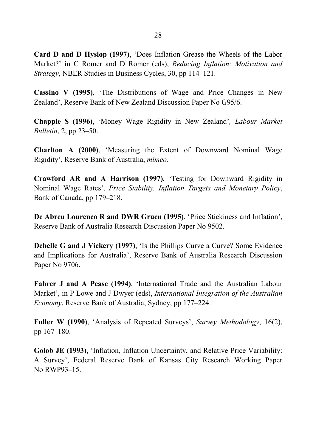**Card D and D Hyslop (1997)**, 'Does Inflation Grease the Wheels of the Labor Market?' in C Romer and D Romer (eds), *Reducing Inflation: Motivation and Strategy*, NBER Studies in Business Cycles, 30, pp 114–121.

**Cassino V (1995)**, 'The Distributions of Wage and Price Changes in New Zealand', Reserve Bank of New Zealand Discussion Paper No G95/6.

**Chapple S (1996)**, 'Money Wage Rigidity in New Zealand'*, Labour Market Bulletin*, 2, pp 23–50.

**Charlton A (2000)**, 'Measuring the Extent of Downward Nominal Wage Rigidity', Reserve Bank of Australia, *mimeo*.

**Crawford AR and A Harrison (1997)**, 'Testing for Downward Rigidity in Nominal Wage Rates', *Price Stability, Inflation Targets and Monetary Policy*, Bank of Canada, pp 179–218.

**De Abreu Lourenco R and DWR Gruen (1995)**, 'Price Stickiness and Inflation', Reserve Bank of Australia Research Discussion Paper No 9502.

**Debelle G and J Vickery (1997)**, 'Is the Phillips Curve a Curve? Some Evidence and Implications for Australia', Reserve Bank of Australia Research Discussion Paper No 9706.

**Fahrer J and A Pease (1994)**, 'International Trade and the Australian Labour Market', in P Lowe and J Dwyer (eds), *International Integration of the Australian Economy*, Reserve Bank of Australia, Sydney, pp 177–224.

**Fuller W (1990)**, 'Analysis of Repeated Surveys', *Survey Methodology*, 16(2), pp 167–180.

**Golob JE (1993)**, 'Inflation, Inflation Uncertainty, and Relative Price Variability: A Survey', Federal Reserve Bank of Kansas City Research Working Paper No RWP93–15.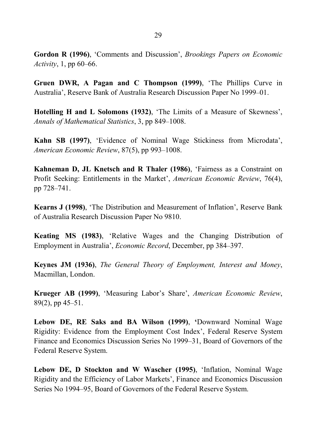**Gordon R (1996)**, 'Comments and Discussion', *Brookings Papers on Economic Activity*, 1, pp 60–66.

**Gruen DWR, A Pagan and C Thompson (1999)**, 'The Phillips Curve in Australia', Reserve Bank of Australia Research Discussion Paper No 1999–01.

**Hotelling H and L Solomons (1932)**, 'The Limits of a Measure of Skewness', *Annals of Mathematical Statistics*, 3, pp 849–1008.

**Kahn SB (1997)**, 'Evidence of Nominal Wage Stickiness from Microdata', *American Economic Review*, 87(5), pp 993–1008.

**Kahneman D, JL Knetsch and R Thaler (1986)**, 'Fairness as a Constraint on Profit Seeking: Entitlements in the Market', *American Economic Review*, 76(4), pp 728–741.

**Kearns J (1998)**, 'The Distribution and Measurement of Inflation', Reserve Bank of Australia Research Discussion Paper No 9810.

**Keating MS (1983)**, 'Relative Wages and the Changing Distribution of Employment in Australia', *Economic Record*, December, pp 384–397.

**Keynes JM (1936)**, *The General Theory of Employment, Interest and Money*, Macmillan, London.

**Krueger AB (1999)**, 'Measuring Labor's Share', *American Economic Review*, 89(2), pp 45–51.

**Lebow DE, RE Saks and BA Wilson (1999)**, **'**Downward Nominal Wage Rigidity: Evidence from the Employment Cost Index', Federal Reserve System Finance and Economics Discussion Series No 1999–31, Board of Governors of the Federal Reserve System.

**Lebow DE, D Stockton and W Wascher (1995)**, 'Inflation, Nominal Wage Rigidity and the Efficiency of Labor Markets', Finance and Economics Discussion Series No 1994–95, Board of Governors of the Federal Reserve System.